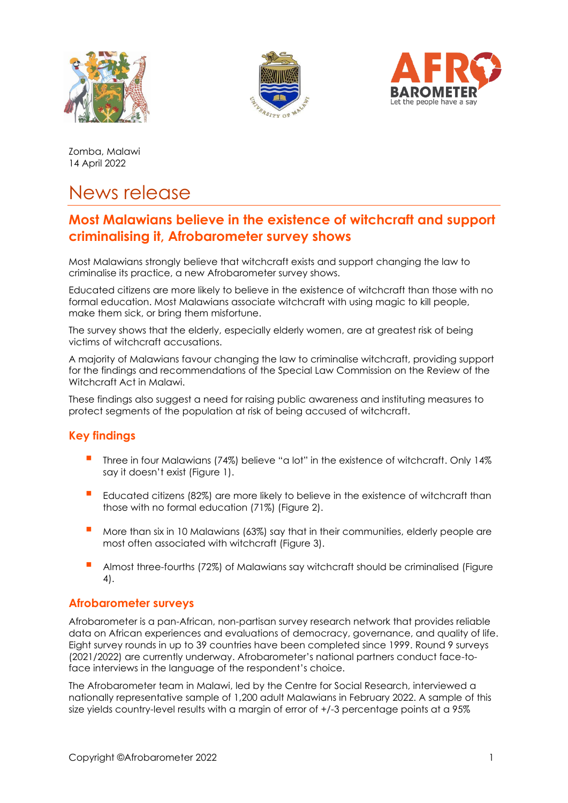





Zomba, Malawi 14 April 2022

# News release

# **Most Malawians believe in the existence of witchcraft and support criminalising it, Afrobarometer survey shows**

Most Malawians strongly believe that witchcraft exists and support changing the law to criminalise its practice, a new Afrobarometer survey shows.

Educated citizens are more likely to believe in the existence of witchcraft than those with no formal education. Most Malawians associate witchcraft with using magic to kill people, make them sick, or bring them misfortune.

The survey shows that the elderly, especially elderly women, are at greatest risk of being victims of witchcraft accusations.

A majority of Malawians favour changing the law to criminalise witchcraft, providing support for the findings and recommendations of the Special Law Commission on the Review of the Witchcraft Act in Malawi.

These findings also suggest a need for raising public awareness and instituting measures to protect segments of the population at risk of being accused of witchcraft.

# **Key findings**

- **▪** Three in four Malawians (74%) believe "a lot" in the existence of witchcraft. Only 14% say it doesn't exist (Figure 1).
- Educated citizens (82%) are more likely to believe in the existence of witchcraft than those with no formal education (71%) (Figure 2).
- More than six in 10 Malawians (63%) say that in their communities, elderly people are most often associated with witchcraft (Figure 3).
- **E** Almost three-fourths (72%) of Malawians say witchcraft should be criminalised (Figure 4).

### **Afrobarometer surveys**

Afrobarometer is a pan-African, non-partisan survey research network that provides reliable data on African experiences and evaluations of democracy, governance, and quality of life. Eight survey rounds in up to 39 countries have been completed since 1999. Round 9 surveys (2021/2022) are currently underway. Afrobarometer's national partners conduct face-toface interviews in the language of the respondent's choice.

The Afrobarometer team in Malawi, led by the Centre for Social Research, interviewed a nationally representative sample of 1,200 adult Malawians in February 2022. A sample of this size yields country-level results with a margin of error of +/-3 percentage points at a 95%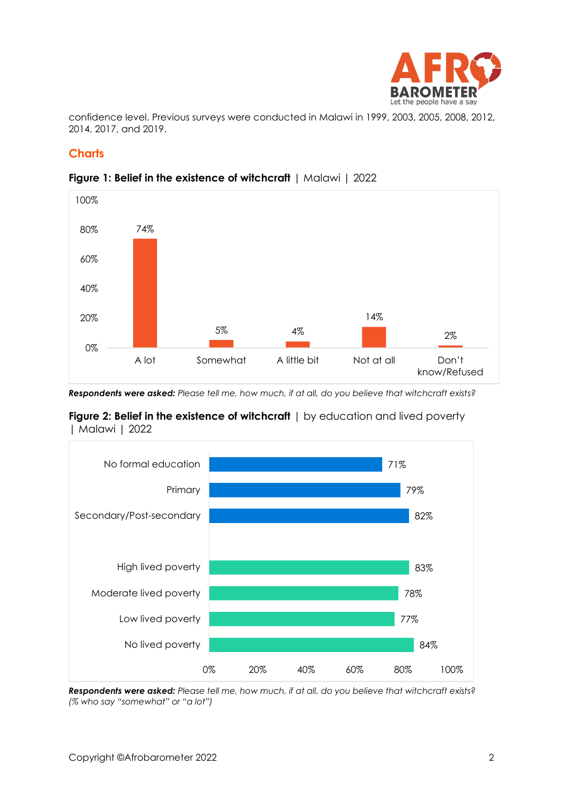

confidence level. Previous surveys were conducted in Malawi in 1999, 2003, 2005, 2008, 2012, 2014, 2017, and 2019.

# **Charts**



#### **Figure 1: Belief in the existence of witchcraft** | Malawi | 2022

*Respondents were asked: Please tell me, how much, if at all, do you believe that witchcraft exists?*





*Respondents were asked: Please tell me, how much, if at all, do you believe that witchcraft exists? (% who say "somewhat" or "a lot")*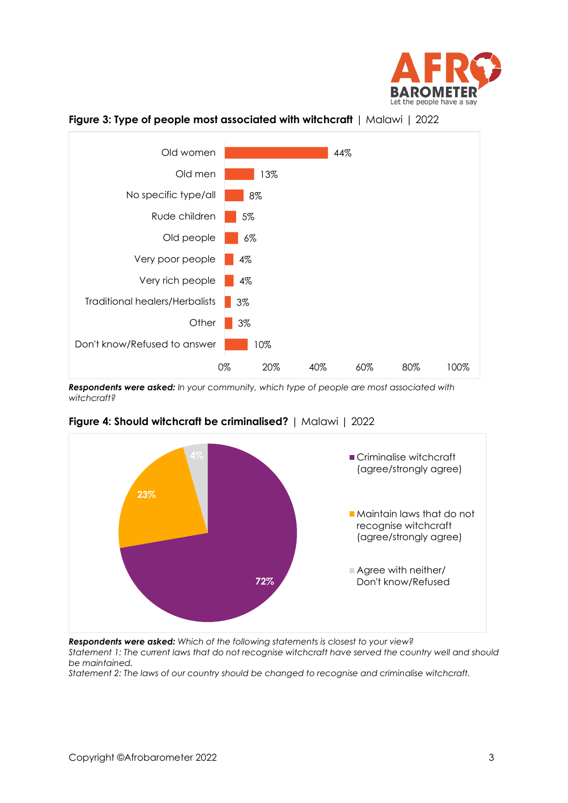



**Figure 3: Type of people most associated with witchcraft** | Malawi | 2022

*Respondents were asked: In your community, which type of people are most associated with witchcraft?*



### **Figure 4: Should witchcraft be criminalised?** | Malawi | 2022

*Respondents were asked: Which of the following statements is closest to your view?* 

*Statement 1: The current laws that do not recognise witchcraft have served the country well and should be maintained.*

*Statement 2: The laws of our country should be changed to recognise and criminalise witchcraft.*